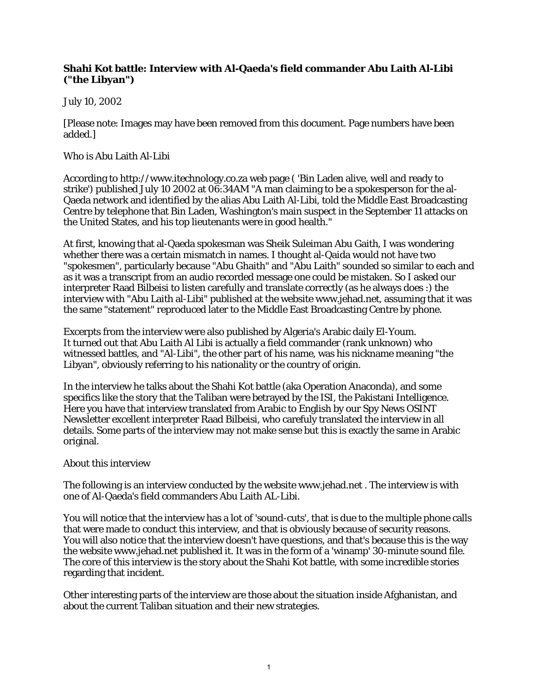## **Shahi Kot battle: Interview with Al-Qaeda's field commander Abu Laith Al-Libi ("the Libyan")**

## July 10, 2002

[Please note: Images may have been removed from this document. Page numbers have been added.]

## Who is Abu Laith Al-Libi

According to http://www.itechnology.co.za web page ( 'Bin Laden alive, well and ready to strike') published July 10 2002 at 06:34AM "A man claiming to be a spokesperson for the al-Qaeda network and identified by the alias Abu Laith Al-Libi, told the Middle East Broadcasting Centre by telephone that Bin Laden, Washington's main suspect in the September 11 attacks on the United States, and his top lieutenants were in good health."

At first, knowing that al-Qaeda spokesman was Sheik Suleiman Abu Gaith, I was wondering whether there was a certain mismatch in names. I thought al-Qaida would not have two "spokesmen", particularly because "Abu Ghaith" and "Abu Laith" sounded so similar to each and as it was a transcript from an audio recorded message one could be mistaken. So I asked our interpreter Raad Bilbeisi to listen carefully and translate correctly (as he always does :) the interview with "Abu Laith al-Libi" published at the website www.jehad.net, assuming that it was the same "statement" reproduced later to the Middle East Broadcasting Centre by phone.

Excerpts from the interview were also published by Algeria's Arabic daily El-Youm. It turned out that Abu Laith Al Libi is actually a field commander (rank unknown) who witnessed battles, and "Al-Libi", the other part of his name, was his nickname meaning "the Libyan", obviously referring to his nationality or the country of origin.

In the interview he talks about the Shahi Kot battle (aka Operation Anaconda), and some specifics like the story that the Taliban were betrayed by the ISI, the Pakistani Intelligence. Here you have that interview translated from Arabic to English by our Spy News OSINT Newsletter excellent interpreter Raad Bilbeisi, who carefuly translated the interview in all details. Some parts of the interview may not make sense but this is exactly the same in Arabic original.

## About this interview

The following is an interview conducted by the website www.jehad.net . The interview is with one of Al-Qaeda's field commanders Abu Laith AL-Libi.

You will notice that the interview has a lot of 'sound-cuts', that is due to the multiple phone calls that were made to conduct this interview, and that is obviously because of security reasons. You will also notice that the interview doesn't have questions, and that's because this is the way the website www.jehad.net published it. It was in the form of a 'winamp' 30-minute sound file. The core of this interview is the story about the Shahi Kot battle, with some incredible stories regarding that incident.

Other interesting parts of the interview are those about the situation inside Afghanistan, and about the current Taliban situation and their new strategies.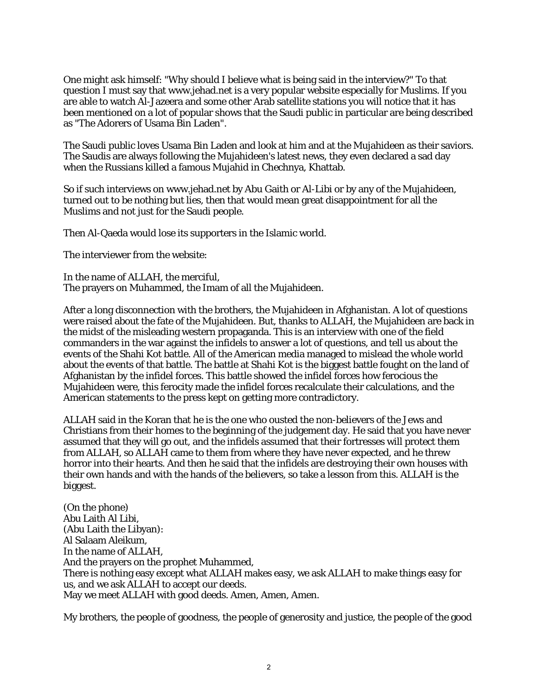One might ask himself: "Why should I believe what is being said in the interview?" To that question I must say that www.jehad.net is a very popular website especially for Muslims. If you are able to watch Al-Jazeera and some other Arab satellite stations you will notice that it has been mentioned on a lot of popular shows that the Saudi public in particular are being described as "The Adorers of Usama Bin Laden".

The Saudi public loves Usama Bin Laden and look at him and at the Mujahideen as their saviors. The Saudis are always following the Mujahideen's latest news, they even declared a sad day when the Russians killed a famous Mujahid in Chechnya, Khattab.

So if such interviews on www.jehad.net by Abu Gaith or Al-Libi or by any of the Mujahideen, turned out to be nothing but lies, then that would mean great disappointment for all the Muslims and not just for the Saudi people.

Then Al-Qaeda would lose its supporters in the Islamic world.

The interviewer from the website:

In the name of ALLAH, the merciful, The prayers on Muhammed, the Imam of all the Mujahideen.

After a long disconnection with the brothers, the Mujahideen in Afghanistan. A lot of questions were raised about the fate of the Mujahideen. But, thanks to ALLAH, the Mujahideen are back in the midst of the misleading western propaganda. This is an interview with one of the field commanders in the war against the infidels to answer a lot of questions, and tell us about the events of the Shahi Kot battle. All of the American media managed to mislead the whole world about the events of that battle. The battle at Shahi Kot is the biggest battle fought on the land of Afghanistan by the infidel forces. This battle showed the infidel forces how ferocious the Mujahideen were, this ferocity made the infidel forces recalculate their calculations, and the American statements to the press kept on getting more contradictory.

ALLAH said in the Koran that he is the one who ousted the non-believers of the Jews and Christians from their homes to the beginning of the judgement day. He said that you have never assumed that they will go out, and the infidels assumed that their fortresses will protect them from ALLAH, so ALLAH came to them from where they have never expected, and he threw horror into their hearts. And then he said that the infidels are destroying their own houses with their own hands and with the hands of the believers, so take a lesson from this. ALLAH is the biggest.

(On the phone) Abu Laith Al Libi, (Abu Laith the Libyan): Al Salaam Aleikum, In the name of ALLAH, And the prayers on the prophet Muhammed, There is nothing easy except what ALLAH makes easy, we ask ALLAH to make things easy for us, and we ask ALLAH to accept our deeds. May we meet ALLAH with good deeds. Amen, Amen, Amen.

My brothers, the people of goodness, the people of generosity and justice, the people of the good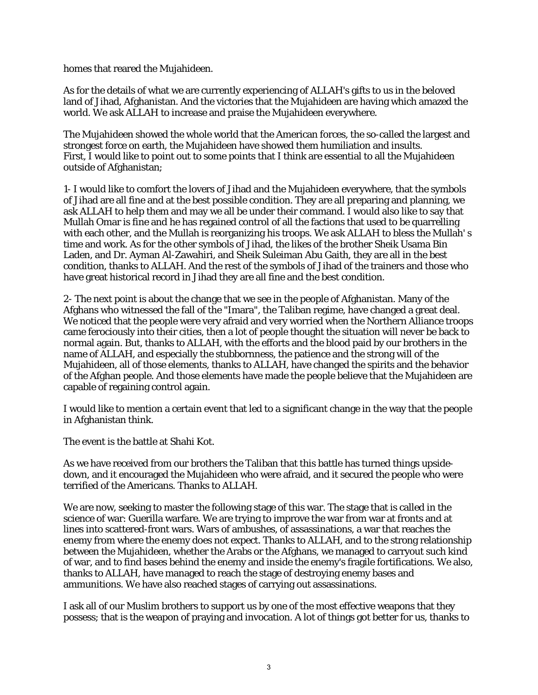homes that reared the Mujahideen.

As for the details of what we are currently experiencing of ALLAH's gifts to us in the beloved land of Jihad, Afghanistan. And the victories that the Mujahideen are having which amazed the world. We ask ALLAH to increase and praise the Mujahideen everywhere.

The Mujahideen showed the whole world that the American forces, the so-called the largest and strongest force on earth, the Mujahideen have showed them humiliation and insults. First, I would like to point out to some points that I think are essential to all the Mujahideen outside of Afghanistan;

1- I would like to comfort the lovers of Jihad and the Mujahideen everywhere, that the symbols of Jihad are all fine and at the best possible condition. They are all preparing and planning, we ask ALLAH to help them and may we all be under their command. I would also like to say that Mullah Omar is fine and he has regained control of all the factions that used to be quarrelling with each other, and the Mullah is reorganizing his troops. We ask ALLAH to bless the Mullah's time and work. As for the other symbols of Jihad, the likes of the brother Sheik Usama Bin Laden, and Dr. Ayman Al-Zawahiri, and Sheik Suleiman Abu Gaith, they are all in the best condition, thanks to ALLAH. And the rest of the symbols of Jihad of the trainers and those who have great historical record in Jihad they are all fine and the best condition.

2- The next point is about the change that we see in the people of Afghanistan. Many of the Afghans who witnessed the fall of the "Imara", the Taliban regime, have changed a great deal. We noticed that the people were very afraid and very worried when the Northern Alliance troops came ferociously into their cities, then a lot of people thought the situation will never be back to normal again. But, thanks to ALLAH, with the efforts and the blood paid by our brothers in the name of ALLAH, and especially the stubbornness, the patience and the strong will of the Mujahideen, all of those elements, thanks to ALLAH, have changed the spirits and the behavior of the Afghan people. And those elements have made the people believe that the Mujahideen are capable of regaining control again.

I would like to mention a certain event that led to a significant change in the way that the people in Afghanistan think.

The event is the battle at Shahi Kot.

As we have received from our brothers the Taliban that this battle has turned things upsidedown, and it encouraged the Mujahideen who were afraid, and it secured the people who were terrified of the Americans. Thanks to ALLAH.

We are now, seeking to master the following stage of this war. The stage that is called in the science of war: Guerilla warfare. We are trying to improve the war from war at fronts and at lines into scattered-front wars. Wars of ambushes, of assassinations, a war that reaches the enemy from where the enemy does not expect. Thanks to ALLAH, and to the strong relationship between the Mujahideen, whether the Arabs or the Afghans, we managed to carryout such kind of war, and to find bases behind the enemy and inside the enemy's fragile fortifications. We also, thanks to ALLAH, have managed to reach the stage of destroying enemy bases and ammunitions. We have also reached stages of carrying out assassinations.

I ask all of our Muslim brothers to support us by one of the most effective weapons that they possess; that is the weapon of praying and invocation. A lot of things got better for us, thanks to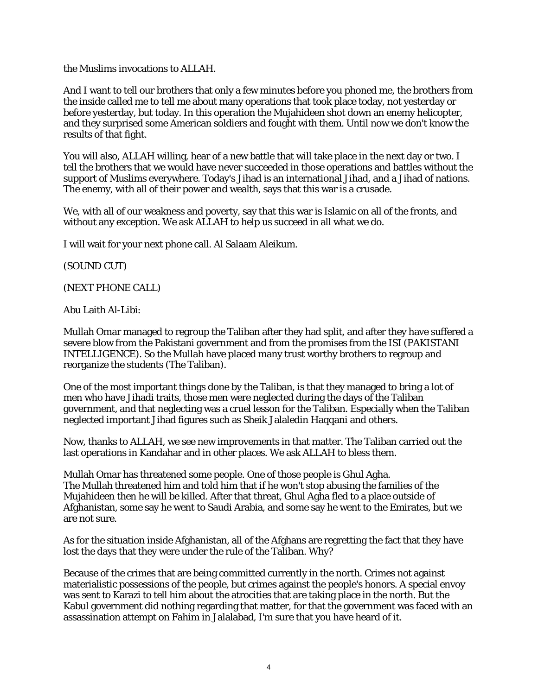the Muslims invocations to ALLAH.

And I want to tell our brothers that only a few minutes before you phoned me, the brothers from the inside called me to tell me about many operations that took place today, not yesterday or before yesterday, but today. In this operation the Mujahideen shot down an enemy helicopter, and they surprised some American soldiers and fought with them. Until now we don't know the results of that fight.

You will also, ALLAH willing, hear of a new battle that will take place in the next day or two. I tell the brothers that we would have never succeeded in those operations and battles without the support of Muslims everywhere. Today's Jihad is an international Jihad, and a Jihad of nations. The enemy, with all of their power and wealth, says that this war is a crusade.

We, with all of our weakness and poverty, say that this war is Islamic on all of the fronts, and without any exception. We ask ALLAH to help us succeed in all what we do.

I will wait for your next phone call. Al Salaam Aleikum.

(SOUND CUT)

(NEXT PHONE CALL)

Abu Laith Al-Libi:

Mullah Omar managed to regroup the Taliban after they had split, and after they have suffered a severe blow from the Pakistani government and from the promises from the ISI (PAKISTANI INTELLIGENCE). So the Mullah have placed many trust worthy brothers to regroup and reorganize the students (The Taliban).

One of the most important things done by the Taliban, is that they managed to bring a lot of men who have Jihadi traits, those men were neglected during the days of the Taliban government, and that neglecting was a cruel lesson for the Taliban. Especially when the Taliban neglected important Jihad figures such as Sheik Jalaledin Haqqani and others.

Now, thanks to ALLAH, we see new improvements in that matter. The Taliban carried out the last operations in Kandahar and in other places. We ask ALLAH to bless them.

Mullah Omar has threatened some people. One of those people is Ghul Agha. The Mullah threatened him and told him that if he won't stop abusing the families of the Mujahideen then he will be killed. After that threat, Ghul Agha fled to a place outside of Afghanistan, some say he went to Saudi Arabia, and some say he went to the Emirates, but we are not sure.

As for the situation inside Afghanistan, all of the Afghans are regretting the fact that they have lost the days that they were under the rule of the Taliban. Why?

Because of the crimes that are being committed currently in the north. Crimes not against materialistic possessions of the people, but crimes against the people's honors. A special envoy was sent to Karazi to tell him about the atrocities that are taking place in the north. But the Kabul government did nothing regarding that matter, for that the government was faced with an assassination attempt on Fahim in Jalalabad, I'm sure that you have heard of it.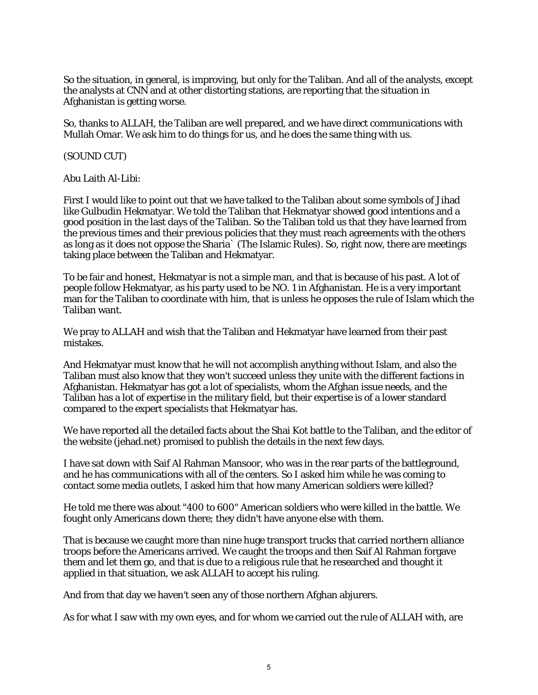So the situation, in general, is improving, but only for the Taliban. And all of the analysts, except the analysts at CNN and at other distorting stations, are reporting that the situation in Afghanistan is getting worse.

So, thanks to ALLAH, the Taliban are well prepared, and we have direct communications with Mullah Omar. We ask him to do things for us, and he does the same thing with us.

(SOUND CUT)

Abu Laith Al-Libi:

First I would like to point out that we have talked to the Taliban about some symbols of Jihad like Gulbudin Hekmatyar. We told the Taliban that Hekmatyar showed good intentions and a good position in the last days of the Taliban. So the Taliban told us that they have learned from the previous times and their previous policies that they must reach agreements with the others as long as it does not oppose the Sharia` (The Islamic Rules). So, right now, there are meetings taking place between the Taliban and Hekmatyar.

To be fair and honest, Hekmatyar is not a simple man, and that is because of his past. A lot of people follow Hekmatyar, as his party used to be NO. 1 in Afghanistan. He is a very important man for the Taliban to coordinate with him, that is unless he opposes the rule of Islam which the Taliban want.

We pray to ALLAH and wish that the Taliban and Hekmatyar have learned from their past mistakes.

And Hekmatyar must know that he will not accomplish anything without Islam, and also the Taliban must also know that they won't succeed unless they unite with the different factions in Afghanistan. Hekmatyar has got a lot of specialists, whom the Afghan issue needs, and the Taliban has a lot of expertise in the military field, but their expertise is of a lower standard compared to the expert specialists that Hekmatyar has.

We have reported all the detailed facts about the Shai Kot battle to the Taliban, and the editor of the website (jehad.net) promised to publish the details in the next few days.

I have sat down with Saif Al Rahman Mansoor, who was in the rear parts of the battleground, and he has communications with all of the centers. So I asked him while he was coming to contact some media outlets, I asked him that how many American soldiers were killed?

He told me there was about "400 to 600" American soldiers who were killed in the battle. We fought only Americans down there; they didn't have anyone else with them.

That is because we caught more than nine huge transport trucks that carried northern alliance troops before the Americans arrived. We caught the troops and then Saif Al Rahman forgave them and let them go, and that is due to a religious rule that he researched and thought it applied in that situation, we ask ALLAH to accept his ruling.

And from that day we haven't seen any of those northern Afghan abjurers.

As for what I saw with my own eyes, and for whom we carried out the rule of ALLAH with, are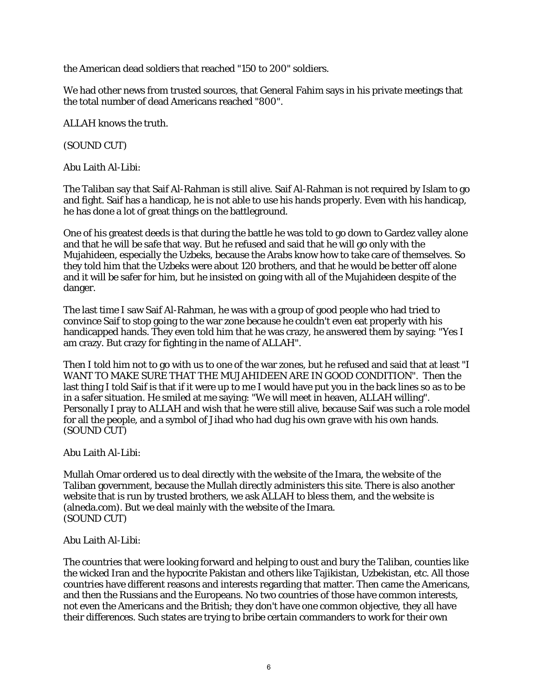the American dead soldiers that reached "150 to 200" soldiers.

We had other news from trusted sources, that General Fahim says in his private meetings that the total number of dead Americans reached "800".

ALLAH knows the truth.

(SOUND CUT)

Abu Laith Al-Libi:

The Taliban say that Saif Al-Rahman is still alive. Saif Al-Rahman is not required by Islam to go and fight. Saif has a handicap, he is not able to use his hands properly. Even with his handicap, he has done a lot of great things on the battleground.

One of his greatest deeds is that during the battle he was told to go down to Gardez valley alone and that he will be safe that way. But he refused and said that he will go only with the Mujahideen, especially the Uzbeks, because the Arabs know how to take care of themselves. So they told him that the Uzbeks were about 120 brothers, and that he would be better off alone and it will be safer for him, but he insisted on going with all of the Mujahideen despite of the danger.

The last time I saw Saif Al-Rahman, he was with a group of good people who had tried to convince Saif to stop going to the war zone because he couldn't even eat properly with his handicapped hands. They even told him that he was crazy, he answered them by saying: "Yes I am crazy. But crazy for fighting in the name of ALLAH".

Then I told him not to go with us to one of the war zones, but he refused and said that at least "I WANT TO MAKE SURE THAT THE MUJAHIDEEN ARE IN GOOD CONDITION". Then the last thing I told Saif is that if it were up to me I would have put you in the back lines so as to be in a safer situation. He smiled at me saying: "We will meet in heaven, ALLAH willing". Personally I pray to ALLAH and wish that he were still alive, because Saif was such a role model for all the people, and a symbol of Jihad who had dug his own grave with his own hands. (SOUND CUT)

Abu Laith Al-Libi:

Mullah Omar ordered us to deal directly with the website of the Imara, the website of the Taliban government, because the Mullah directly administers this site. There is also another website that is run by trusted brothers, we ask ALLAH to bless them, and the website is (alneda.com). But we deal mainly with the website of the Imara. (SOUND CUT)

Abu Laith Al-Libi:

The countries that were looking forward and helping to oust and bury the Taliban, counties like the wicked Iran and the hypocrite Pakistan and others like Tajikistan, Uzbekistan, etc. All those countries have different reasons and interests regarding that matter. Then came the Americans, and then the Russians and the Europeans. No two countries of those have common interests, not even the Americans and the British; they don't have one common objective, they all have their differences. Such states are trying to bribe certain commanders to work for their own